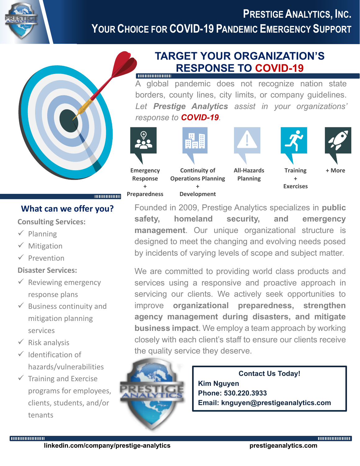



## **What can we offer you?**

**Consulting Services:**

- ✓ Planning
- ✓ Mitigation
- ✓ Prevention

## **Disaster Services:**

- $\checkmark$  Reviewing emergency response plans
- $\checkmark$  Business continuity and mitigation planning services
- $\checkmark$  Risk analysis

muunuun

- ✓ Identification of hazards/vulnerabilities
- $\checkmark$  Training and Exercise programs for employees, clients, students, and/or tenants

# **TARGET YOUR ORGANIZATION'S RESPONSE TO COVID-19**

A global pandemic does not recognize nation state borders, county lines, city limits, or company guidelines. *Let Prestige Analytics assist in your organizations' response to COVID-19.*



Founded in 2009, Prestige Analytics specializes in **public safety, homeland security, and emergency management**. Our unique organizational structure is designed to meet the changing and evolving needs posed by incidents of varying levels of scope and subject matter.

We are committed to providing world class products and services using a responsive and proactive approach in servicing our clients. We actively seek opportunities to improve **organizational preparedness, strengthen agency management during disasters, and mitigate business impact**. We employ a team approach by working closely with each client's staff to ensure our clients receive the quality service they deserve.



**Contact Us Today! Kim Nguyen Phone: 530.220.3933 Email: knguyen@prestigeanalytics.com**

**THURBOURNEY**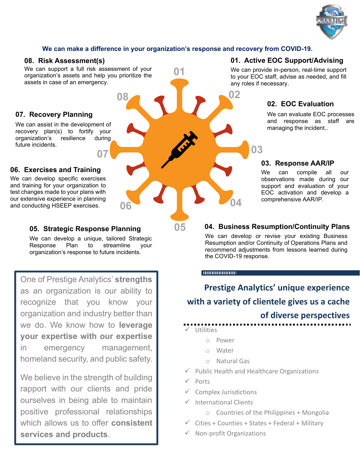

## **We can make a difference in your organization's response and recovery from COVID-19.**

**01**

**05**

## **08. Risk Assessment(s)**

We can support a full risk assessment of your organization's assets and help you prioritize the assets in case of an emergency.

**07**

### **07. Recovery Planning**

We can assist in the development of recovery plan(s) to fortify your organization's resilience during future incidents.

### **06. Exercises and Training**

We can develop specific exercises and training for your organization to test changes made to your plans with our extensive experience in planning and conducting HSEEP exercises.

### **05. Strategic Response Planning**

We can develop a unique, tailored Strategic Response Plan to streamline your organization's response to future incidents.

**06**

**08**

One of Prestige Analytics' **strengths** as an organization is our ability to recognize that you know your organization and industry better than we do. We know how to **leverage your expertise with our expertise** in emergency management, homeland security, and public safety.

We believe in the strength of building rapport with our clients and pride ourselves in being able to maintain positive professional relationships which allows us to offer **consistent services and products**.

## **01. Active EOC Support/Advising**

We can provide in-person, real-time support to your EOC staff, advise as needed, and fill any roles if necessary.

## **02. EOC Evaluation**

We can evaluate EOC processes and response as staff are managing the incident..

## **03. Response AAR/IP**

We can compile all our observations made during our support and evaluation of your EOC activation and develop a comprehensive AAR/IP.

### **04. Business Resumption/Continuity Plans**

We can develop or revise your existing Business Resumption and/or Continuity of Operations Plans and recommend adjustments from lessons learned during the COVID-19 response.

#### 

**02**

**04**

**03**

**Prestige Analytics' unique experience with a variety of clientele gives us a cache of diverse perspectives**

- **Utilities** 
	- o Power
	- o Water
	- o Natural Gas
- Public Health and Healthcare Organizations
- Ports
- Complex Jurisdictions
- ✓ International Clients
	- o Countries of the Philippines + Mongolia
- $\checkmark$  Cities + Counties + States + Federal + Military
- ✓ Non-profit Organizations